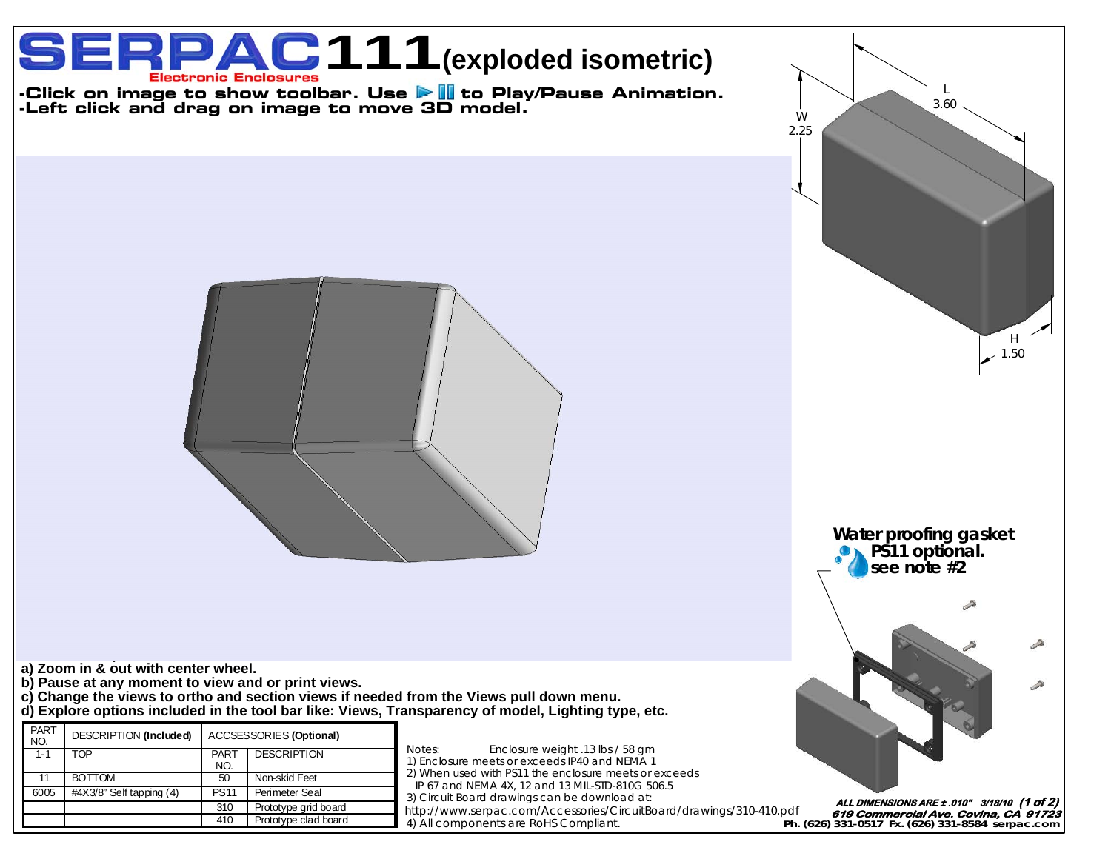